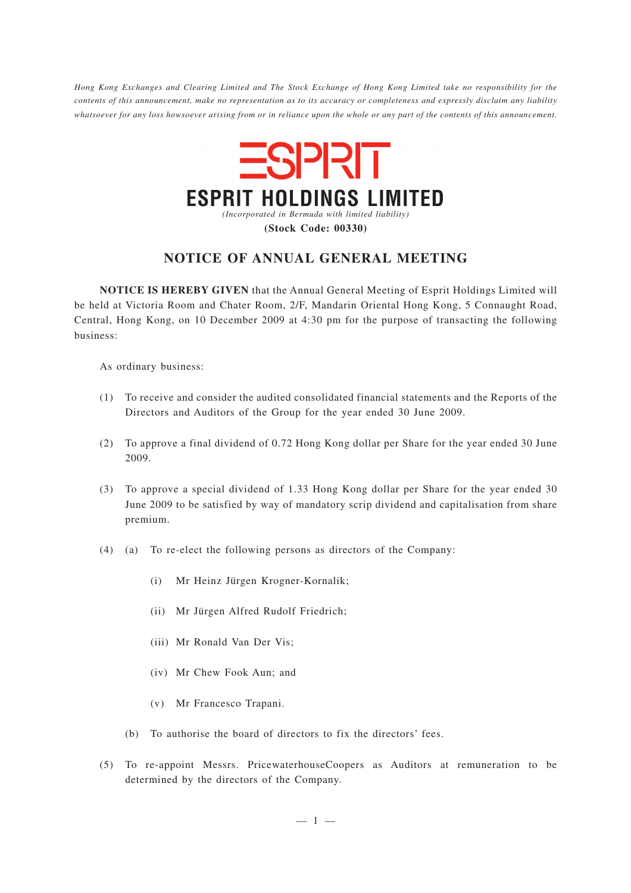*Hong Kong Exchanges and Clearing Limited and The Stock Exchange of Hong Kong Limited take no responsibility for the contents of this announcement, make no representation as to its accuracy or completeness and expressly disclaim any liability whatsoever for any loss howsoever arising from or in reliance upon the whole or any part of the contents of this announcement.*



# **NOTICE OF ANNUAL GENERAL MEETING**

**NOTICE IS HEREBY GIVEN** that the Annual General Meeting of Esprit Holdings Limited will be held at Victoria Room and Chater Room, 2/F, Mandarin Oriental Hong Kong, 5 Connaught Road, Central, Hong Kong, on 10 December 2009 at 4:30 pm for the purpose of transacting the following business:

As ordinary business:

- (1) To receive and consider the audited consolidated financial statements and the Reports of the Directors and Auditors of the Group for the year ended 30 June 2009.
- (2) To approve a final dividend of 0.72 Hong Kong dollar per Share for the year ended 30 June 2009.
- (3) To approve a special dividend of 1.33 Hong Kong dollar per Share for the year ended 30 June 2009 to be satisfied by way of mandatory scrip dividend and capitalisation from share premium.
- (4) (a) To re-elect the following persons as directors of the Company:
	- (i) Mr Heinz Jürgen Krogner-Kornalik;
	- (ii) Mr Jürgen Alfred Rudolf Friedrich;
	- (iii) Mr Ronald Van Der Vis;
	- (iv) Mr Chew Fook Aun; and
	- (v) Mr Francesco Trapani.
	- (b) To authorise the board of directors to fix the directors' fees.
- (5) To re-appoint Messrs. PricewaterhouseCoopers as Auditors at remuneration to be determined by the directors of the Company.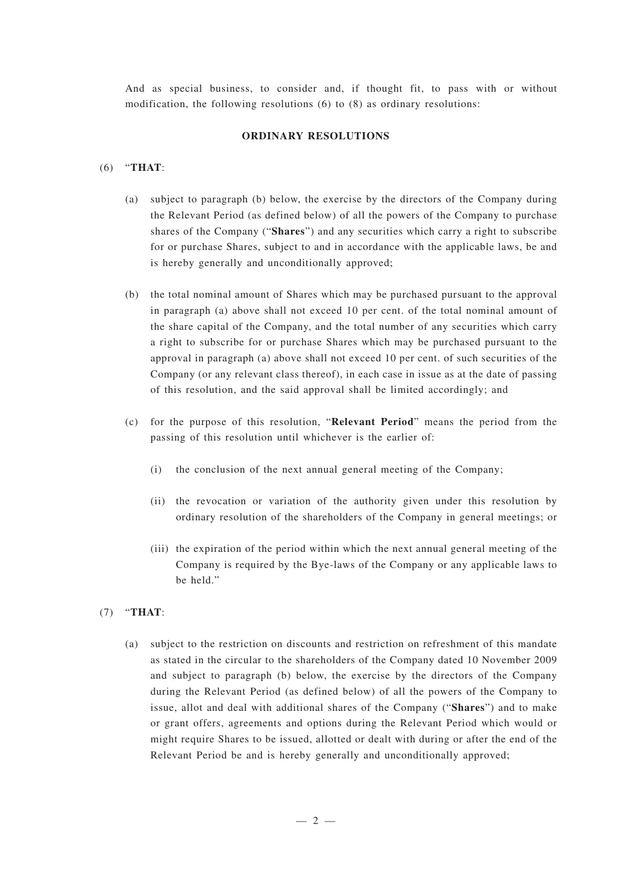And as special business, to consider and, if thought fit, to pass with or without modification, the following resolutions (6) to (8) as ordinary resolutions:

## **ORDINARY RESOLUTIONS**

## (6) "**THAT**:

- (a) subject to paragraph (b) below, the exercise by the directors of the Company during the Relevant Period (as defined below) of all the powers of the Company to purchase shares of the Company ("**Shares**") and any securities which carry a right to subscribe for or purchase Shares, subject to and in accordance with the applicable laws, be and is hereby generally and unconditionally approved;
- (b) the total nominal amount of Shares which may be purchased pursuant to the approval in paragraph (a) above shall not exceed 10 per cent. of the total nominal amount of the share capital of the Company, and the total number of any securities which carry a right to subscribe for or purchase Shares which may be purchased pursuant to the approval in paragraph (a) above shall not exceed 10 per cent. of such securities of the Company (or any relevant class thereof), in each case in issue as at the date of passing of this resolution, and the said approval shall be limited accordingly; and
- (c) for the purpose of this resolution, "**Relevant Period**" means the period from the passing of this resolution until whichever is the earlier of:
	- (i) the conclusion of the next annual general meeting of the Company;
	- (ii) the revocation or variation of the authority given under this resolution by ordinary resolution of the shareholders of the Company in general meetings; or
	- (iii) the expiration of the period within which the next annual general meeting of the Company is required by the Bye-laws of the Company or any applicable laws to be held."
- (7) "**THAT**:
	- (a) subject to the restriction on discounts and restriction on refreshment of this mandate as stated in the circular to the shareholders of the Company dated 10 November 2009 and subject to paragraph (b) below, the exercise by the directors of the Company during the Relevant Period (as defined below) of all the powers of the Company to issue, allot and deal with additional shares of the Company ("**Shares**") and to make or grant offers, agreements and options during the Relevant Period which would or might require Shares to be issued, allotted or dealt with during or after the end of the Relevant Period be and is hereby generally and unconditionally approved;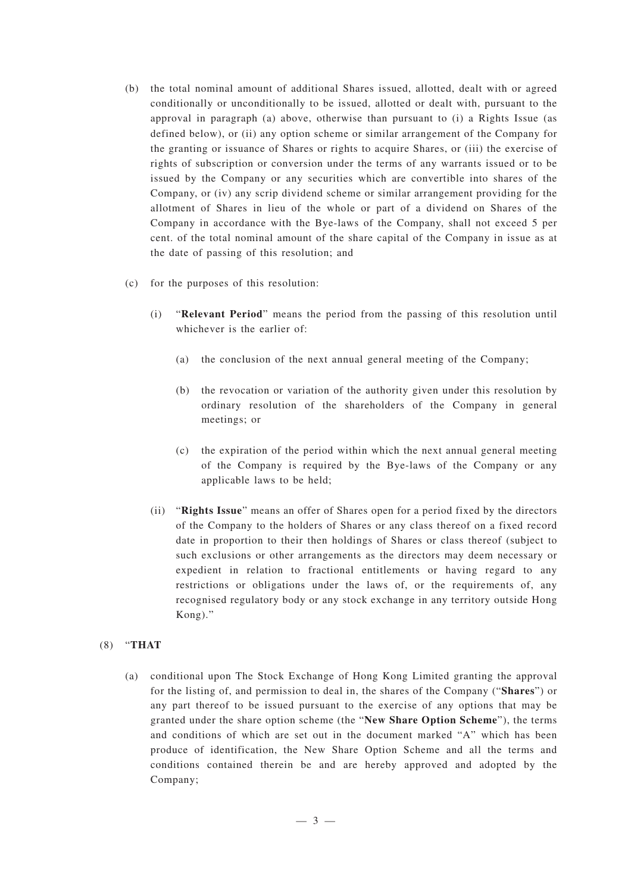- (b) the total nominal amount of additional Shares issued, allotted, dealt with or agreed conditionally or unconditionally to be issued, allotted or dealt with, pursuant to the approval in paragraph (a) above, otherwise than pursuant to (i) a Rights Issue (as defined below), or (ii) any option scheme or similar arrangement of the Company for the granting or issuance of Shares or rights to acquire Shares, or (iii) the exercise of rights of subscription or conversion under the terms of any warrants issued or to be issued by the Company or any securities which are convertible into shares of the Company, or (iv) any scrip dividend scheme or similar arrangement providing for the allotment of Shares in lieu of the whole or part of a dividend on Shares of the Company in accordance with the Bye-laws of the Company, shall not exceed 5 per cent. of the total nominal amount of the share capital of the Company in issue as at the date of passing of this resolution; and
- (c) for the purposes of this resolution:
	- (i) "**Relevant Period**" means the period from the passing of this resolution until whichever is the earlier of:
		- (a) the conclusion of the next annual general meeting of the Company;
		- (b) the revocation or variation of the authority given under this resolution by ordinary resolution of the shareholders of the Company in general meetings; or
		- (c) the expiration of the period within which the next annual general meeting of the Company is required by the Bye-laws of the Company or any applicable laws to be held;
	- (ii) "**Rights Issue**" means an offer of Shares open for a period fixed by the directors of the Company to the holders of Shares or any class thereof on a fixed record date in proportion to their then holdings of Shares or class thereof (subject to such exclusions or other arrangements as the directors may deem necessary or expedient in relation to fractional entitlements or having regard to any restrictions or obligations under the laws of, or the requirements of, any recognised regulatory body or any stock exchange in any territory outside Hong Kong)."

#### (8) "**THAT**

(a) conditional upon The Stock Exchange of Hong Kong Limited granting the approval for the listing of, and permission to deal in, the shares of the Company ("**Shares**") or any part thereof to be issued pursuant to the exercise of any options that may be granted under the share option scheme (the "**New Share Option Scheme**"), the terms and conditions of which are set out in the document marked "A" which has been produce of identification, the New Share Option Scheme and all the terms and conditions contained therein be and are hereby approved and adopted by the Company;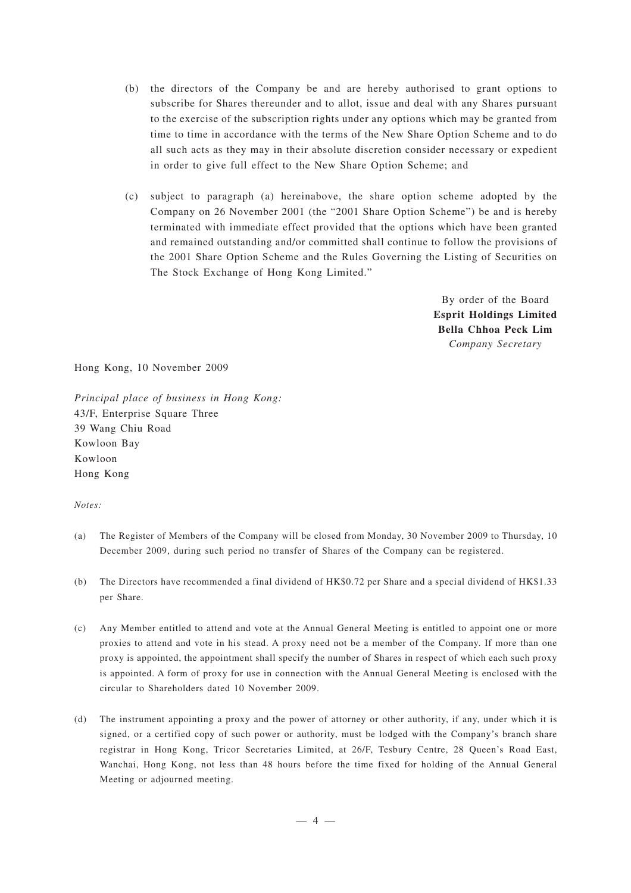- (b) the directors of the Company be and are hereby authorised to grant options to subscribe for Shares thereunder and to allot, issue and deal with any Shares pursuant to the exercise of the subscription rights under any options which may be granted from time to time in accordance with the terms of the New Share Option Scheme and to do all such acts as they may in their absolute discretion consider necessary or expedient in order to give full effect to the New Share Option Scheme; and
- (c) subject to paragraph (a) hereinabove, the share option scheme adopted by the Company on 26 November 2001 (the "2001 Share Option Scheme") be and is hereby terminated with immediate effect provided that the options which have been granted and remained outstanding and/or committed shall continue to follow the provisions of the 2001 Share Option Scheme and the Rules Governing the Listing of Securities on The Stock Exchange of Hong Kong Limited."

By order of the Board **Esprit Holdings Limited Bella Chhoa Peck Lim** *Company Secretary*

Hong Kong, 10 November 2009

*Principal place of business in Hong Kong:* 43/F, Enterprise Square Three 39 Wang Chiu Road Kowloon Bay Kowloon Hong Kong

#### *Notes:*

- (a) The Register of Members of the Company will be closed from Monday, 30 November 2009 to Thursday, 10 December 2009, during such period no transfer of Shares of the Company can be registered.
- (b) The Directors have recommended a final dividend of HK\$0.72 per Share and a special dividend of HK\$1.33 per Share.
- (c) Any Member entitled to attend and vote at the Annual General Meeting is entitled to appoint one or more proxies to attend and vote in his stead. A proxy need not be a member of the Company. If more than one proxy is appointed, the appointment shall specify the number of Shares in respect of which each such proxy is appointed. A form of proxy for use in connection with the Annual General Meeting is enclosed with the circular to Shareholders dated 10 November 2009.
- (d) The instrument appointing a proxy and the power of attorney or other authority, if any, under which it is signed, or a certified copy of such power or authority, must be lodged with the Company's branch share registrar in Hong Kong, Tricor Secretaries Limited, at 26/F, Tesbury Centre, 28 Queen's Road East, Wanchai, Hong Kong, not less than 48 hours before the time fixed for holding of the Annual General Meeting or adjourned meeting.